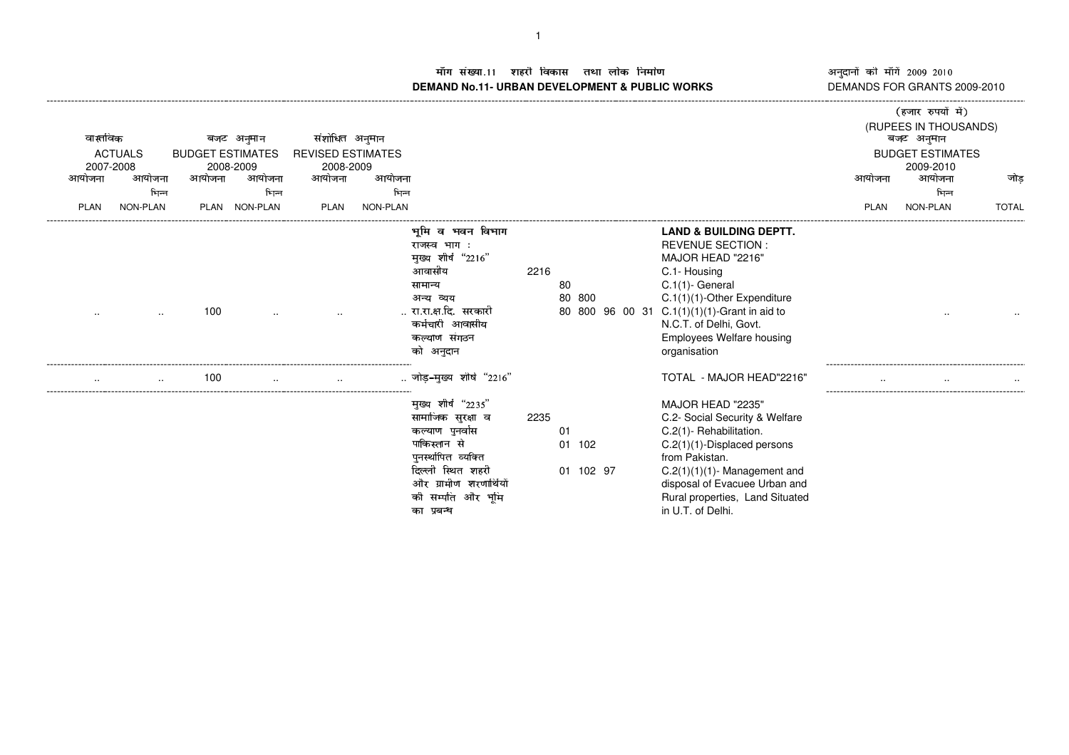- **DEMAND No.11- URBAN DEVELOPMENT & PUBLIC WORKS** DEMANDS FOR GRANTS 2009-2010

अनुदानों की माँगें 2009–2010<br>DEMANDS FOR GRANTS 2009-2010

|        | वास्तविक                              |                                   | बजट अनुमान          | संशोधित अनुमान                                  |          |                                                                                                                                                                                    |      |                           |                                                                                                                                                                                                                                                                                      |             | (हजार रुपयों में)<br>(RUPEES IN THOUSANDS)<br>बजट अनुमान |              |
|--------|---------------------------------------|-----------------------------------|---------------------|-------------------------------------------------|----------|------------------------------------------------------------------------------------------------------------------------------------------------------------------------------------|------|---------------------------|--------------------------------------------------------------------------------------------------------------------------------------------------------------------------------------------------------------------------------------------------------------------------------------|-------------|----------------------------------------------------------|--------------|
| आयोजना | <b>ACTUALS</b><br>2007-2008<br>आयोजना | <b>BUDGET ESTIMATES</b><br>आयोजना | 2008-2009<br>आयोजना | <b>REVISED ESTIMATES</b><br>2008-2009<br>आयोजना | आयोजना   |                                                                                                                                                                                    |      |                           |                                                                                                                                                                                                                                                                                      | आयोजना      | <b>BUDGET ESTIMATES</b><br>2009-2010<br>आयोजना           | जोड          |
|        |                                       | भिन्न                             | भिन्न               |                                                 | भिन्न    |                                                                                                                                                                                    |      |                           |                                                                                                                                                                                                                                                                                      |             | भिन्न                                                    |              |
| PLAN   | <b>NON-PLAN</b>                       | PLAN                              | NON-PLAN            | PLAN                                            | NON-PLAN |                                                                                                                                                                                    |      |                           |                                                                                                                                                                                                                                                                                      | <b>PLAN</b> | NON-PLAN                                                 | <b>TOTAL</b> |
|        |                                       | 100                               |                     |                                                 |          | भूमि<br>व भवन विभाग<br>राजस्व भाग:<br>मुख्य शीर्ष "2216"<br>आवासीय<br>सामान्य<br>अन्य व्यय<br>रा.रा.क्ष.दि. सरकारी<br>कर्मचारी आवासीय<br>कल्याण संगठन<br>को अनुदान                 | 2216 | 80<br>80 800              | <b>LAND &amp; BUILDING DEPTT.</b><br><b>REVENUE SECTION:</b><br>MAJOR HEAD "2216"<br>C.1- Housing<br>$C.1(1)$ - General<br>C.1(1)(1)-Other Expenditure<br>80 800 96 00 31 C.1(1)(1)(1)-Grant in aid to<br>N.C.T. of Delhi, Govt.<br><b>Employees Welfare housing</b><br>organisation |             |                                                          |              |
|        |                                       | 100<br>$\cdot$ .                  |                     |                                                 |          | जोड-मख्य शीर्ष "2216"                                                                                                                                                              |      |                           | TOTAL - MAJOR HEAD"2216"                                                                                                                                                                                                                                                             |             |                                                          |              |
|        |                                       |                                   |                     |                                                 |          | मुख्य शीर्ष "2235"<br>सामाजिक सुरक्षा व<br>कल्याण पुनर्वास<br>पाकिस्तान से<br>पुनस्थोपित व्यक्ति<br>दिल्ली स्थित शहरी<br>और ग्रामीण शरणार्थियों<br>की सम्पति और भूमि<br>का प्रबन्ध | 2235 | 01<br>01 102<br>01 102 97 | MAJOR HEAD "2235"<br>C.2- Social Security & Welfare<br>C.2(1)- Rehabilitation.<br>$C.2(1)(1)$ -Displaced persons<br>from Pakistan.<br>$C.2(1)(1)(1)$ - Management and<br>disposal of Evacuee Urban and<br>Rural properties, Land Situated<br>in U.T. of Delhi.                       |             |                                                          |              |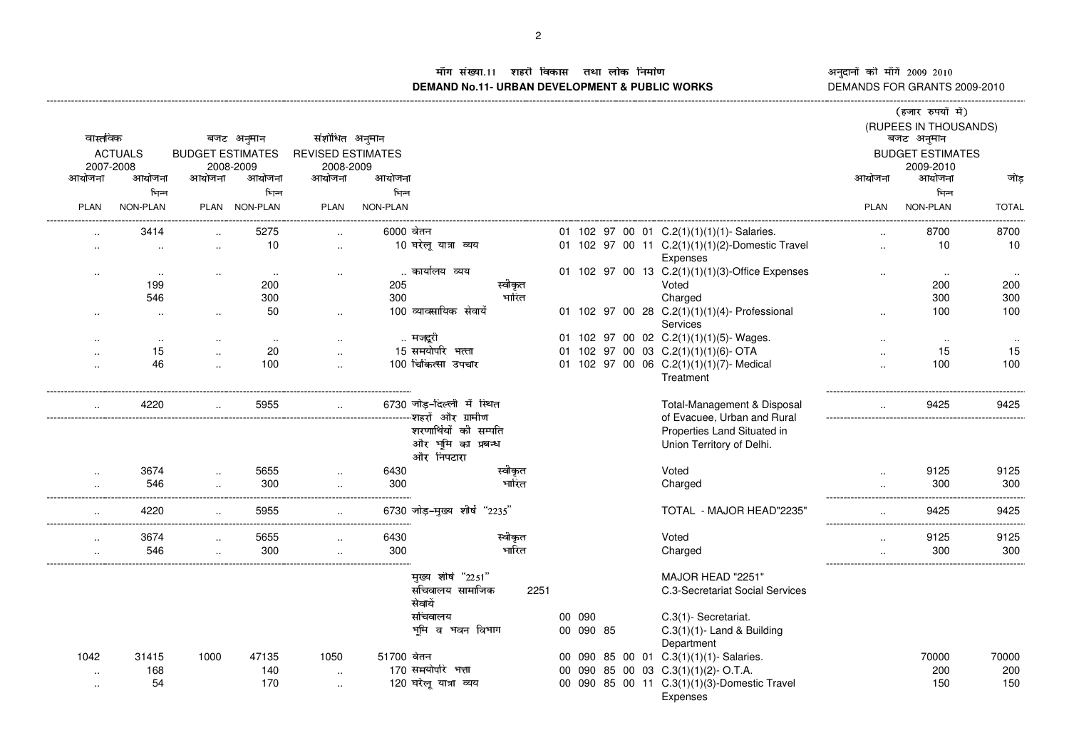"! ##\$ &%'()\*+,-./+)0132456**DEMAND No.11- URBAN DEVELOPMENT & PUBLIC WORKS** DEMANDS FOR GRANTS 2009-2010

नुदानों की माँगें 2009–2010<br>EMANDS FOR GRANTS 2009-2011<br>. ---------------------

|             |                |                         |               |                          |            |                              |         |        |           |  |                                                 |                          | (हजार रुपयों में)                   |              |
|-------------|----------------|-------------------------|---------------|--------------------------|------------|------------------------------|---------|--------|-----------|--|-------------------------------------------------|--------------------------|-------------------------------------|--------------|
| वास्तविक    |                |                         | बजट अनुमान    | संशोधित अनुमान           |            |                              |         |        |           |  |                                                 |                          | (RUPEES IN THOUSANDS)<br>बजट अनुमान |              |
|             | <b>ACTUALS</b> | <b>BUDGET ESTIMATES</b> |               | <b>REVISED ESTIMATES</b> |            |                              |         |        |           |  |                                                 |                          | <b>BUDGET ESTIMATES</b>             |              |
| 2007-2008   |                |                         | 2008-2009     | 2008-2009                |            |                              |         |        |           |  |                                                 |                          | 2009-2010                           |              |
| आयोजना      | आयोजना         | आयोजना                  | आयोजना        | आयोजना                   | आयोजना     |                              |         |        |           |  |                                                 | आयोजना                   | आयोजना                              | जोड़         |
|             | भिन्न          |                         | भिन्न         |                          | भिन्न      |                              |         |        |           |  |                                                 |                          | भिन्न                               |              |
| <b>PLAN</b> | NON-PLAN       |                         | PLAN NON-PLAN | <b>PLAN</b>              | NON-PLAN   |                              |         |        |           |  |                                                 | <b>PLAN</b>              | NON-PLAN                            | <b>TOTAL</b> |
|             |                |                         |               |                          |            |                              |         |        |           |  |                                                 |                          |                                     |              |
|             | 3414           |                         | 5275          |                          | 6000 वेतन  |                              |         |        |           |  | 01 102 97 00 01 C.2(1)(1)(1)(1)- Salaries.      |                          | 8700                                | 8700         |
| $\cdot$ .   | $\sim$         | $\ddotsc$               | 10            | $\ldots$                 |            | 10 घरेलू यात्रा व्यय         |         |        |           |  | 01 102 97 00 11 C.2(1)(1)(1)(2)-Domestic Travel | $\ldots$                 | 10                                  | 10           |
|             |                |                         |               |                          |            |                              |         |        |           |  | Expenses                                        |                          |                                     |              |
| $\sim$      | $\cdot$ .      | $\cdot$                 | $\sim$        | $\cdot$ .                |            | कार्यालय व्यय                |         |        |           |  | 01 102 97 00 13 C.2(1)(1)(1)(3)-Office Expenses | $\ddotsc$                | $\sim$                              | $\sim$       |
|             | 199            |                         | 200           |                          | 205        |                              | स्वीकृत |        |           |  | Voted                                           |                          | 200                                 | 200          |
|             | 546            |                         | 300           |                          | 300        |                              | भारित   |        |           |  | Charged                                         |                          | 300                                 | 300          |
|             |                |                         | 50            |                          |            | 100 व्यावसायिक सेवायें       |         |        |           |  | 01 102 97 00 28 C.2(1)(1)(1)(4)- Professional   |                          | 100                                 | 100          |
|             |                | $\ddot{\phantom{a}}$    |               | $\sim$                   |            |                              |         |        |           |  | Services                                        |                          |                                     |              |
|             | $\sim$         |                         | $\sim$        | $\sim$                   |            | मजदूरी                       |         |        |           |  | 01 102 97 00 02 C.2(1)(1)(1)(5)- Wages.         |                          | $\sim$                              | $\sim$       |
|             | 15             |                         | 20            | $\ddot{\phantom{a}}$     |            | 15 समयोपरि भत्ता             |         |        |           |  | 01 102 97 00 03 C.2(1)(1)(1)(6)- OTA            | $\overline{\phantom{a}}$ | 15                                  | 15           |
|             | 46             |                         | 100           |                          |            | 100 चिकित्सा उपचार           |         |        |           |  | 01 102 97 00 06 C.2(1)(1)(1)(7)-Medical         |                          | 100                                 | 100          |
|             |                |                         |               |                          |            |                              |         |        |           |  | Treatment                                       |                          |                                     |              |
|             | 4220           |                         | 5955          | $\sim$                   |            | 6730 जोड-दिल्ली में स्थित    |         |        |           |  | Total-Management & Disposal                     |                          | 9425                                | 9425         |
|             |                |                         |               |                          |            | -शहरों और ग्रामीण            |         |        |           |  | of Evacuee, Urban and Rural                     |                          |                                     |              |
|             |                |                         |               |                          |            | शरणाथियों की सम्पति          |         |        |           |  | Properties Land Situated in                     |                          |                                     |              |
|             |                |                         |               |                          |            | और भूमि का प्रबन्ध           |         |        |           |  | Union Territory of Delhi.                       |                          |                                     |              |
|             |                |                         |               |                          |            | और निपटारा                   |         |        |           |  |                                                 |                          |                                     |              |
| $\cdot$ .   | 3674           | $\cdot$                 | 5655          | $\ddotsc$                | 6430       |                              | स्वीकृत |        |           |  | Voted                                           | $\ddotsc$                | 9125                                | 9125         |
| $\cdot$ .   | 546            |                         | 300           | $\ddot{\phantom{a}}$     | 300        |                              | भारित   |        |           |  | Charged                                         |                          | 300                                 | 300          |
|             |                |                         |               |                          |            |                              |         |        |           |  |                                                 |                          |                                     |              |
| $\cdot$ .   | 4220           | $\ddot{\phantom{a}}$    | 5955          |                          |            | 6730 जोड़-मुख्य शीर्ष "2235" |         |        |           |  | TOTAL - MAJOR HEAD"2235"                        | $\ddotsc$                | 9425                                | 9425         |
|             |                |                         |               |                          |            |                              |         |        |           |  |                                                 |                          |                                     |              |
| $\ddotsc$   | 3674           |                         | 5655          | $\cdot$ .                | 6430       |                              | स्वीकृत |        |           |  | Voted                                           |                          | 9125                                | 9125         |
|             | 546            |                         | 300           | $\ddotsc$                | 300        |                              | भारित   |        |           |  | Charged                                         |                          | 300                                 | 300          |
|             |                |                         |               |                          |            | मुख्य शीर्ष "2251"           |         |        |           |  | MAJOR HEAD "2251"                               |                          |                                     |              |
|             |                |                         |               |                          |            | संचिवालय सामाजिक             | 2251    |        |           |  | C.3-Secretariat Social Services                 |                          |                                     |              |
|             |                |                         |               |                          |            | सेवायें                      |         |        |           |  |                                                 |                          |                                     |              |
|             |                |                         |               |                          |            | सचिवालय                      |         | 00 090 |           |  | C.3(1)-Secretariat.                             |                          |                                     |              |
|             |                |                         |               |                          |            | भूमि व भवन विभाग             |         |        | 00 090 85 |  | $C.3(1)(1)$ - Land & Building                   |                          |                                     |              |
|             |                |                         |               |                          |            |                              |         |        |           |  | Department                                      |                          |                                     |              |
| 1042        | 31415          | 1000                    | 47135         | 1050                     | 51700 वेतन |                              |         |        |           |  | 00 090 85 00 01 C.3(1)(1)(1)-Salaries.          |                          | 70000                               | 70000        |
|             | 168            |                         | 140           |                          |            | 170 समयोपरि भत्ता            |         |        |           |  | 00 090 85 00 03 C.3(1)(1)(2)-O.T.A.             |                          | 200                                 | 200          |
| $\sim$      | 54             |                         | 170           | $\overline{\phantom{a}}$ |            | 120 घरेलू यात्रा व्यय        |         |        |           |  | 00 090 85 00 11 C.3(1)(1)(3)-Domestic Travel    |                          | 150                                 | 150          |
| $\sim$      |                |                         |               | $\ddotsc$                |            |                              |         |        |           |  | Expenses                                        |                          |                                     |              |
|             |                |                         |               |                          |            |                              |         |        |           |  |                                                 |                          |                                     |              |

-----------------------------------------------------------------------------------------------------------------------------------------------------------------------------------------------------------------------------------------------------------------------------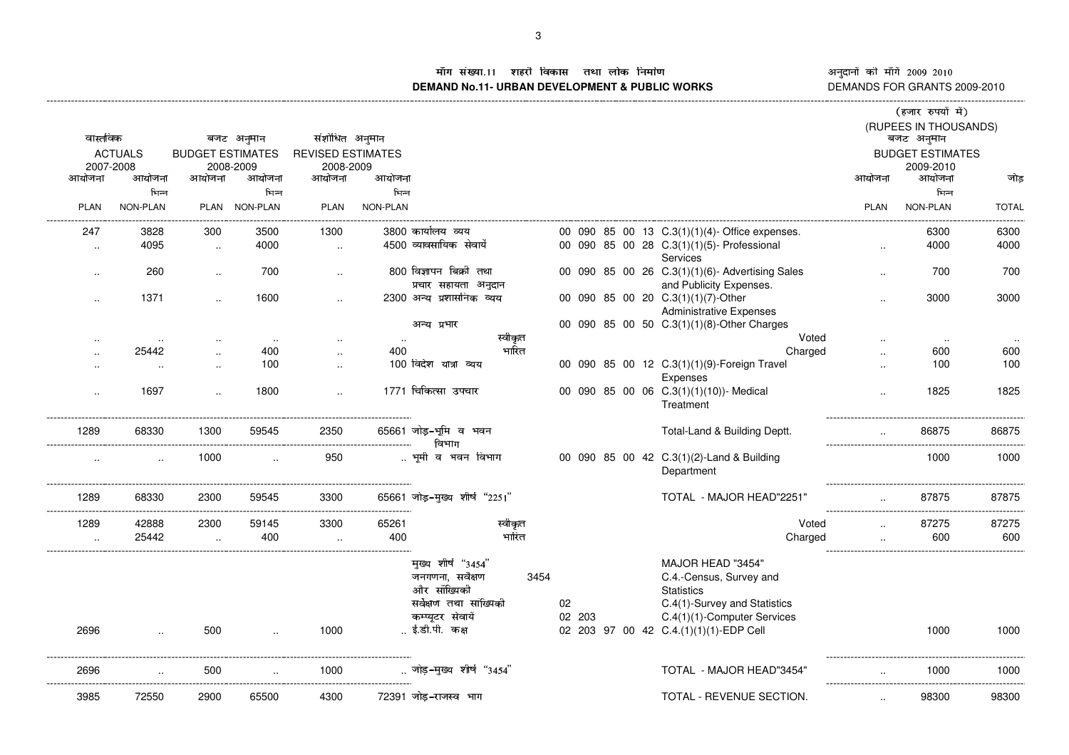ÊËÌÍÎÏÐË"Ò ÑÓÓÔ ËÖÕ×ØÙÚÛËÎÜËÝËËÞßÛÙàÊËá3âËãäå**DEMAND No.11- URBAN DEVELOPMENT & PUBLIC WORKS** DEMANDS FOR GRANTS 2009-2010

## नुदानों की माँगें 2009–2010<br>EMANDS FOR GRANTS 2009-2011 ---------------------

|                      |                |                         |               |                          |          |                                                                                                                         |      |              |  |                                                                                                                                                                            |             | (हजार रुपयों में)           |              |
|----------------------|----------------|-------------------------|---------------|--------------------------|----------|-------------------------------------------------------------------------------------------------------------------------|------|--------------|--|----------------------------------------------------------------------------------------------------------------------------------------------------------------------------|-------------|-----------------------------|--------------|
|                      |                |                         |               |                          |          |                                                                                                                         |      |              |  |                                                                                                                                                                            |             | (RUPEES IN THOUSANDS)       |              |
| वास्तविक             |                |                         | बजट अनुमान    | संशोधित अनुमान           |          |                                                                                                                         |      |              |  |                                                                                                                                                                            |             | बजट अनुमान                  |              |
|                      | <b>ACTUALS</b> | <b>BUDGET ESTIMATES</b> |               | <b>REVISED ESTIMATES</b> |          |                                                                                                                         |      |              |  |                                                                                                                                                                            |             | <b>BUDGET ESTIMATES</b>     |              |
| 2007-2008            |                |                         | 2008-2009     | 2008-2009                |          |                                                                                                                         |      |              |  |                                                                                                                                                                            |             | 2009-2010                   |              |
| आयोजना               | आयोजना         | आयोजना                  | आयोजना        | आयोजना                   | आयोजना   |                                                                                                                         |      |              |  |                                                                                                                                                                            | आयोजना      | आयोजना                      | जोड़         |
|                      | भिन्न          |                         | भिन्न         |                          | भिन्न    |                                                                                                                         |      |              |  |                                                                                                                                                                            |             | भिन्न                       |              |
| PLAN                 | NON-PLAN       |                         | PLAN NON-PLAN | <b>PLAN</b>              | NON-PLAN |                                                                                                                         |      |              |  |                                                                                                                                                                            | <b>PLAN</b> | NON-PLAN                    | <b>TOTAL</b> |
| 247                  | 3828           | 300                     | 3500          | 1300                     |          | 3800 कार्यालय व्यय                                                                                                      |      |              |  | 00 090 85 00 13 C.3(1)(1)(4)-Office expenses.                                                                                                                              |             | 6300                        | 6300         |
| $\ddot{\phantom{a}}$ | 4095           | $\ddotsc$               | 4000          | $\ddotsc$                |          | 4500 व्यावसायिक सेवायें                                                                                                 |      |              |  | 00 090 85 00 28 C.3(1)(1)(5)- Professional<br>Services                                                                                                                     |             | 4000                        | 4000         |
| $\ddotsc$            | 260            | $\ddot{\phantom{a}}$    | 700           | $\cdot$                  |          | 800 विज्ञापन बिक्री तथा                                                                                                 |      |              |  | 00 090 85 00 26 C.3(1)(1)(6)- Advertising Sales                                                                                                                            | $\cdot$     | 700                         | 700          |
|                      |                |                         |               |                          |          | प्रचार सहायता अनुदान                                                                                                    |      |              |  | and Publicity Expenses.                                                                                                                                                    |             |                             |              |
| $\cdot$ .            | 1371           | μ.                      | 1600          | $\cdot$                  |          | 2300 अन्य प्रशासनिक व्यय                                                                                                |      |              |  | 00 090 85 00 20 C.3(1)(1)(7)-Other                                                                                                                                         | $\cdot$     | 3000                        | 3000         |
|                      |                |                         |               |                          |          |                                                                                                                         |      |              |  | <b>Administrative Expenses</b>                                                                                                                                             |             |                             |              |
|                      |                |                         |               |                          |          | अन्य प्रभार                                                                                                             |      |              |  | 00 090 85 00 50 C.3(1)(1)(8)-Other Charges                                                                                                                                 |             |                             |              |
|                      | $\ddotsc$      |                         | $\ddotsc$     |                          |          | स्वीकृत                                                                                                                 |      |              |  | Voted                                                                                                                                                                      |             | $\sim$                      |              |
|                      | 25442          |                         | 400           |                          | 400      | भारित                                                                                                                   |      |              |  | Charged                                                                                                                                                                    | $\cdot$     | 600                         | 600          |
|                      |                |                         | 100           |                          |          | 100 विदेश यात्रा व्यय                                                                                                   |      |              |  | 00 090 85 00 12 C.3(1)(1)(9)-Foreign Travel                                                                                                                                |             | 100                         | 100          |
|                      |                |                         |               |                          |          |                                                                                                                         |      |              |  | Expenses                                                                                                                                                                   |             |                             |              |
|                      | 1697           |                         | 1800          |                          |          | 1771 चिकित्सा उपचार                                                                                                     |      |              |  | 00 090 85 00 06 C.3(1)(1)(10))- Medical<br>Treatment                                                                                                                       |             | 1825                        | 1825         |
| 1289                 | 68330          | 1300                    | 59545         | 2350                     |          | 65661 जोड़-भूमि व भवन<br>विभाग                                                                                          |      |              |  | Total-Land & Building Deptt.                                                                                                                                               |             | 86875                       | 86875        |
|                      |                | 1000                    |               | 950                      |          | भूमी व भवन विभाग                                                                                                        |      |              |  | 00 090 85 00 42 C.3(1)(2)-Land & Building<br>Department                                                                                                                    |             | 1000                        | 1000         |
| 1289                 | 68330          | 2300                    | 59545         | 3300                     |          | 65661 जोड़-मुख्य शीर्ष "2251"                                                                                           |      |              |  | TOTAL - MAJOR HEAD"2251"                                                                                                                                                   |             | 87875<br>------------------ | 87875        |
| 1289                 | 42888          | 2300                    | 59145         | 3300                     | 65261    | स्वीकृत                                                                                                                 |      |              |  | Voted                                                                                                                                                                      |             | 87275                       | 87275        |
|                      | 25442          |                         | 400           |                          | 400      | भारित                                                                                                                   |      |              |  | Charged                                                                                                                                                                    |             | 600                         | 600          |
| 2696                 |                | 500                     |               | 1000                     |          | मुख्य शीर्ष "3454"<br>जनगणना, सर्वेक्षण<br>और सॉख्यिकी<br>सर्वेक्षण तथा सांख्यिकी<br>कम्प्यूटर सेवायें<br>ई.डी.पी. कक्ष | 3454 | 02<br>02 203 |  | MAJOR HEAD "3454"<br>C.4.-Census, Survey and<br><b>Statistics</b><br>C.4(1)-Survey and Statistics<br>C.4(1)(1)-Computer Services<br>02 203 97 00 42 C.4.(1)(1)(1)-EDP Cell |             | 1000                        | 1000         |
| 2696                 |                | 500                     |               | 1000                     |          | जोड-मुख्य शीर्ष "3454"                                                                                                  |      |              |  | TOTAL - MAJOR HEAD"3454"                                                                                                                                                   |             | 1000                        | 1000         |
| 3985                 | 72550          | 2900                    | 65500         | 4300                     |          | 72391 जोड़-राजस्व भाग                                                                                                   |      |              |  | TOTAL - REVENUE SECTION.                                                                                                                                                   |             | 98300                       | 98300        |

-----------------------------------------------------------------------------------------------------------------------------------------------------------------------------------------------------------------------------------------------------------------------------